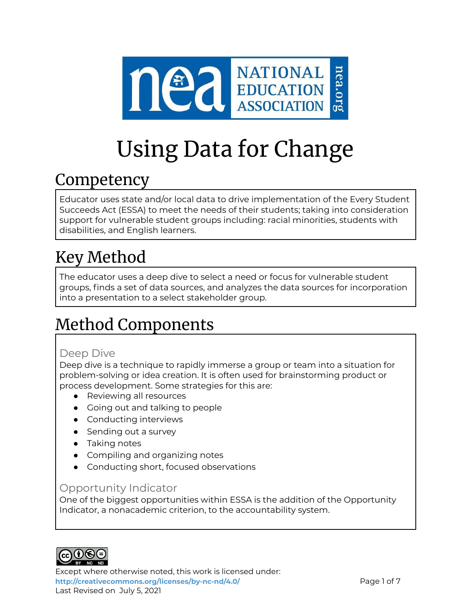

# Using Data for Change

### **Competency**

Educator uses state and/or local data to drive implementation of the Every Student Succeeds Act (ESSA) to meet the needs of their students; taking into consideration support for vulnerable student groups including: racial minorities, students with disabilities, and English learners.

# Key Method

The educator uses a deep dive to select a need or focus for vulnerable student groups, finds a set of data sources, and analyzes the data sources for incorporation into a presentation to a select stakeholder group.

## Method Components

### Deep Dive

Deep dive is a technique to rapidly immerse a group or team into a situation for problem-solving or idea creation. It is often used for brainstorming product or process development. Some strategies for this are:

- Reviewing all resources
- Going out and talking to people
- Conducting interviews
- Sending out a survey
- Taking notes
- Compiling and organizing notes
- Conducting short, focused observations

### Opportunity Indicator

One of the biggest opportunities within ESSA is the addition of the Opportunity Indicator, a nonacademic criterion, to the accountability system.



Except where otherwise noted, this work is licensed under: <http://creativecommons.org/licenses/by-nc-nd/4.0/> **Page 1 of 7** Last Revised on July 5, 2021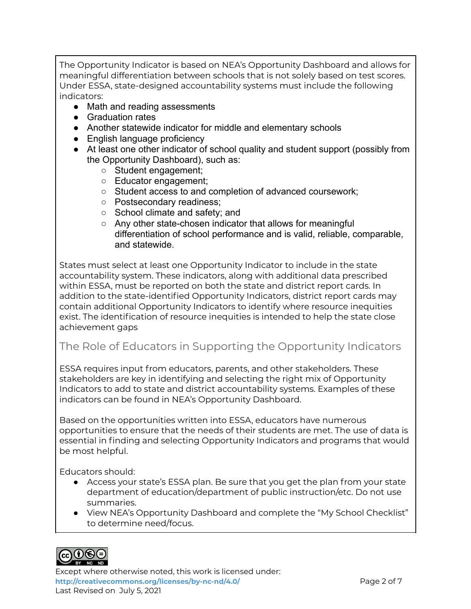The Opportunity Indicator is based on NEA's Opportunity Dashboard and allows for meaningful differentiation between schools that is not solely based on test scores. Under ESSA, state-designed accountability systems must include the following indicators:

- Math and reading assessments
- Graduation rates
- Another statewide indicator for middle and elementary schools
- English language proficiency
- At least one other indicator of school quality and student support (possibly from the Opportunity Dashboard), such as:
	- Student engagement;
	- Educator engagement;
	- Student access to and completion of advanced coursework;
	- Postsecondary readiness;
	- School climate and safety; and
	- Any other state-chosen indicator that allows for meaningful differentiation of school performance and is valid, reliable, comparable, and statewide.

States must select at least one Opportunity Indicator to include in the state accountability system. These indicators, along with additional data prescribed within ESSA, must be reported on both the state and district report cards. In addition to the state-identified Opportunity Indicators, district report cards may contain additional Opportunity Indicators to identify where resource inequities exist. The identification of resource inequities is intended to help the state close achievement gaps

### The Role of Educators in Supporting the Opportunity Indicators

ESSA requires input from educators, parents, and other stakeholders. These stakeholders are key in identifying and selecting the right mix of Opportunity Indicators to add to state and district accountability systems. Examples of these indicators can be found in NEA's Opportunity Dashboard.

Based on the opportunities written into ESSA, educators have numerous opportunities to ensure that the needs of their students are met. The use of data is essential in finding and selecting Opportunity Indicators and programs that would be most helpful.

Educators should:

- Access your state's ESSA plan. Be sure that you get the plan from your state department of education/department of public instruction/etc. Do not use summaries.
- View NEA's Opportunity Dashboard and complete the "My School Checklist" to determine need/focus.



Except where otherwise noted, this work is licensed under: **<http://creativecommons.org/licenses/by-nc-nd/4.0/>** Page 2 of 7 Last Revised on July 5, 2021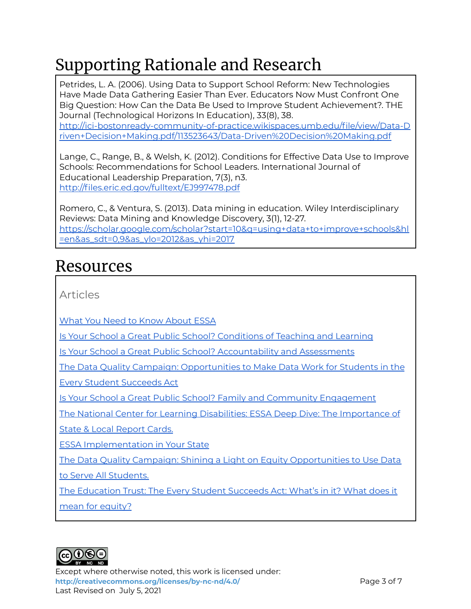# Supporting Rationale and Research

Petrides, L. A. (2006). Using Data to Support School Reform: New Technologies Have Made Data Gathering Easier Than Ever. Educators Now Must Confront One Big Question: How Can the Data Be Used to Improve Student Achievement?. THE Journal (Technological Horizons In Education), 33(8), 38. [http://ici-bostonready-community-of-practice.wikispaces.umb.edu/file/view/Data-D](http://ici-bostonready-community-of-practice.wikispaces.umb.edu/file/view/Data-Driven+Decision+Making.pdf/113523643/Data-Driven%20Decision%20Making.pdf) [riven+Decision+Making.pdf/113523643/Data-Driven%20Decision%20Making.pdf](http://ici-bostonready-community-of-practice.wikispaces.umb.edu/file/view/Data-Driven+Decision+Making.pdf/113523643/Data-Driven%20Decision%20Making.pdf)

Lange, C., Range, B., & Welsh, K. (2012). Conditions for Effective Data Use to Improve Schools: Recommendations for School Leaders. International Journal of Educational Leadership Preparation, 7(3), n3. <http://files.eric.ed.gov/fulltext/EJ997478.pdf>

Romero, C., & Ventura, S. (2013). Data mining in education. Wiley Interdisciplinary Reviews: Data Mining and Knowledge Discovery, 3(1), 12-27. [https://scholar.google.com/scholar?start=10&q=using+data+to+improve+schools&hl](https://scholar.google.com/scholar?start=10&q=using+data+to+improve+schools&hl=en&as_sdt=0,9&as_ylo=2012&as_yhi=2017) [=en&as\\_sdt=0,9&as\\_ylo=2012&as\\_yhi=2017](https://scholar.google.com/scholar?start=10&q=using+data+to+improve+schools&hl=en&as_sdt=0,9&as_ylo=2012&as_yhi=2017)

### Resources

Articles

What You Need to Know [About](https://www.nea.org/resource-library/just-facts-what-you-need-know-about-essa) ESSA

Is Your School a Great Public School? [Conditions](https://www.nea.org/student-success/great-public-schools/what-students-deserve) of Teaching and Learning

Is Your School a Great Public School? [Accountability](https://www.nea.org/advocating-for-change/new-from-nea/educators-put-their-stamp-nclb-rewrite) and Assessments

The Data Quality Campaign: [Opportunities](https://drive.google.com/drive/folders/0B_ul3N_y73yFaDJlNnpNcmpsdDg?resourcekey=0-WDD5UWglS-GNguoa1OAOlw) to Make Data Work for Students in the

Every Student [Succeeds](https://drive.google.com/drive/folders/0B_ul3N_y73yFaDJlNnpNcmpsdDg?resourcekey=0-WDD5UWglS-GNguoa1OAOlw) Act

Is Your School a Great Public School? Family and Community [Engagement](https://www.nea.org/resource-library/essa-new-opportunities-families-and-communities)

The National Center for Learning Disabilities: ESSA Deep Dive: The [Importance](https://drive.google.com/file/d/0B_ul3N_y73yFX0JkT1hNeVVBdDg/view?usp=sharing&resourcekey=0-sLZ6Avy6yExuh7WFQZNELg) of

State & Local [Report](https://drive.google.com/file/d/0B_ul3N_y73yFX0JkT1hNeVVBdDg/view?usp=sharing&resourcekey=0-sLZ6Avy6yExuh7WFQZNELg) Cards.

ESSA [Implementation](https://www.nea.org/advocating-for-change/new-from-nea/states-setting-table-essa-implementation) in Your State

The Data Quality Campaign: Shining a Light on Equity [Opportunities](https://drive.google.com/drive/folders/0B_ul3N_y73yFaDJlNnpNcmpsdDg?resourcekey=0-WDD5UWglS-GNguoa1OAOlw) to Use Data

to Serve All [Students.](https://drive.google.com/drive/folders/0B_ul3N_y73yFaDJlNnpNcmpsdDg?resourcekey=0-WDD5UWglS-GNguoa1OAOlw)

The [Education](https://drive.google.com/drive/folders/0B_ul3N_y73yFaDJlNnpNcmpsdDg?resourcekey=0-WDD5UWglS-GNguoa1OAOlw) Trust: The Every Student Succeeds Act: What's in it? What does it

mean for [equity?](https://drive.google.com/drive/folders/0B_ul3N_y73yFaDJlNnpNcmpsdDg?resourcekey=0-WDD5UWglS-GNguoa1OAOlw)



Except where otherwise noted, this work is licensed under: **<http://creativecommons.org/licenses/by-nc-nd/4.0/>** Page 3 of 7 Last Revised on July 5, 2021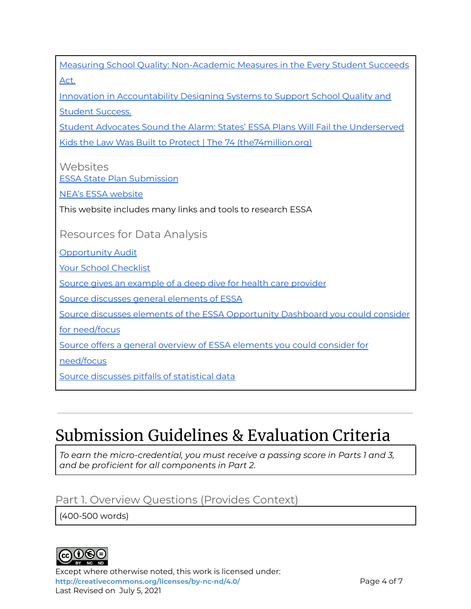| <b>Your School Checklist</b>                                                   |
|--------------------------------------------------------------------------------|
| Source gives an example of a deep dive for health care provider                |
| Source discusses general elements of ESSA                                      |
| Source discusses elements of the ESSA Opportunity Dashboard you could consider |
| for need/focus                                                                 |
| Source offers a general overview of ESSA elements you could consider for       |
| need/focus                                                                     |
| Source discusses pitfalls of statistical data                                  |
|                                                                                |
|                                                                                |

Measuring School Quality: [Non-Academic](https://docs.google.com/document/d/0B_ul3N_y73yFVXd6WWxjem5uZjg/edit?resourcekey=0-vC4ACfzQ3zQ5ZgLxHZcJjw) Measures in the Every Student Succeeds

Innovation in [Accountability](https://drive.google.com/file/d/0B_ul3N_y73yFa1B2RVlGZXFrNkk/view?usp=sharing&resourcekey=0-OhCS2j-UHh8I9vJW4OAweQ) Designing Systems to Support School Quality and

Kids the Law Was Built to Protect | The 74 [\(the74million.org\)](https://www.the74million.org/article/student-advocates-sound-the-alarm-states-essa-plans-will-fail-the-underserved-kids-the-law-was-built-to-protect/)

This website includes many links and tools to research ESSA

Student Advocates Sound the Alarm: States' ESSA Plans Will Fail the [Underserved](https://www.the74million.org/article/student-advocates-sound-the-alarm-states-essa-plans-will-fail-the-underserved-kids-the-law-was-built-to-protect/)

# Submission Guidelines & Evaluation Criteria

*To earn the micro-credential, you must receive a passing score in Parts 1 and 3, and be proficient for all components in Part 2.*

### Part 1. Overview Questions (Provides Context)

(400-500 words)



[Act.](https://docs.google.com/document/d/0B_ul3N_y73yFVXd6WWxjem5uZjg/edit?resourcekey=0-vC4ACfzQ3zQ5ZgLxHZcJjw)

Student [Success.](https://drive.google.com/file/d/0B_ul3N_y73yFa1B2RVlGZXFrNkk/view?usp=sharing&resourcekey=0-OhCS2j-UHh8I9vJW4OAweQ)

**Websites** 

ESSA State Plan [Submission](https://www2.ed.gov/admins/lead/account/stateplan17/statesubmission.html)

Resources for Data Analysis

NEA's ESSA [website](http://myschoolmyvoice.nea.org/%20)

**[Opportunity](https://www.nea.org/resource-library/opportunity-audit) Audit** 

Except where otherwise noted, this work is licensed under: **<http://creativecommons.org/licenses/by-nc-nd/4.0/>** Page 4 of 7 Last Revised on July 5, 2021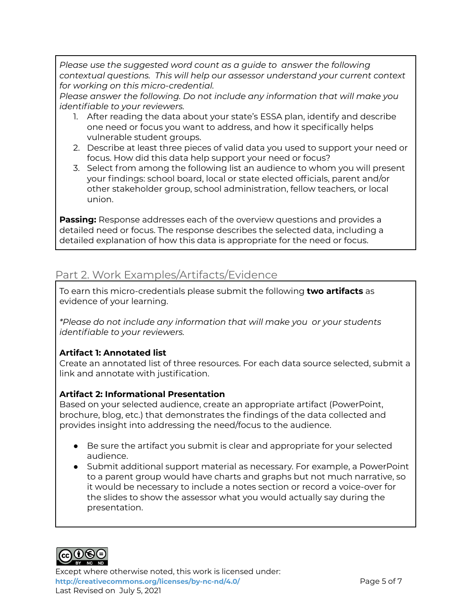*Please use the suggested word count as a guide to answer the following contextual questions. This will help our assessor understand your current context for working on this micro-credential.*

*Please answer the following. Do not include any information that will make you identifiable to your reviewers.*

- 1. After reading the data about your state's ESSA plan, identify and describe one need or focus you want to address, and how it specifically helps vulnerable student groups.
- 2. Describe at least three pieces of valid data you used to support your need or focus. How did this data help support your need or focus?
- 3. Select from among the following list an audience to whom you will present your findings: school board, local or state elected officials, parent and/or other stakeholder group, school administration, fellow teachers, or local union.

**Passing:** Response addresses each of the overview questions and provides a detailed need or focus. The response describes the selected data, including a detailed explanation of how this data is appropriate for the need or focus.

### Part 2. Work Examples/Artifacts/Evidence

To earn this micro-credentials please submit the following **two artifacts** as evidence of your learning.

*\*Please do not include any information that will make you or your students identifiable to your reviewers.*

#### **Artifact 1: Annotated list**

Create an annotated list of three resources. For each data source selected, submit a link and annotate with justification.

#### **Artifact 2: Informational Presentation**

Based on your selected audience, create an appropriate artifact (PowerPoint, brochure, blog, etc.) that demonstrates the findings of the data collected and provides insight into addressing the need/focus to the audience.

- Be sure the artifact you submit is clear and appropriate for your selected audience.
- Submit additional support material as necessary. For example, a PowerPoint to a parent group would have charts and graphs but not much narrative, so it would be necessary to include a notes section or record a voice-over for the slides to show the assessor what you would actually say during the presentation.



Except where otherwise noted, this work is licensed under: **<http://creativecommons.org/licenses/by-nc-nd/4.0/>** Page 5 of 7 Last Revised on July 5, 2021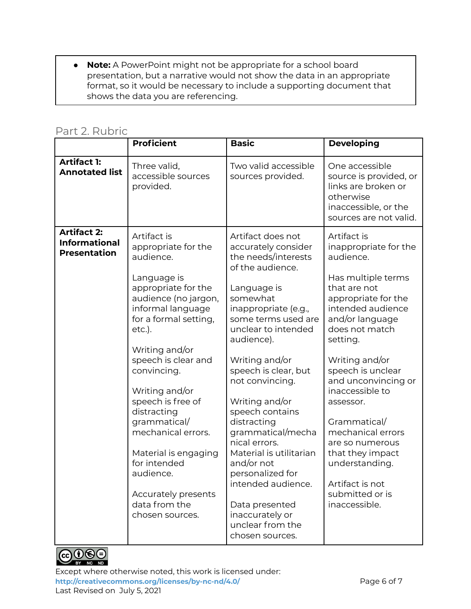● **Note:** A PowerPoint might not be appropriate for a school board presentation, but a narrative would not show the data in an appropriate format, so it would be necessary to include a supporting document that shows the data you are referencing.

### Part 2. Rubric

|                                                                   | <b>Proficient</b>                                                                                                                                                                                                                                                                                                                                                                                                                         | <b>Basic</b>                                                                                                                                                                                                                                                                                                                                                                                                                                                                                                             | <b>Developing</b>                                                                                                                                                                                                                                                                                                                                                                                                                       |
|-------------------------------------------------------------------|-------------------------------------------------------------------------------------------------------------------------------------------------------------------------------------------------------------------------------------------------------------------------------------------------------------------------------------------------------------------------------------------------------------------------------------------|--------------------------------------------------------------------------------------------------------------------------------------------------------------------------------------------------------------------------------------------------------------------------------------------------------------------------------------------------------------------------------------------------------------------------------------------------------------------------------------------------------------------------|-----------------------------------------------------------------------------------------------------------------------------------------------------------------------------------------------------------------------------------------------------------------------------------------------------------------------------------------------------------------------------------------------------------------------------------------|
| <b>Artifact 1:</b><br><b>Annotated list</b>                       | Three valid,<br>accessible sources<br>provided.                                                                                                                                                                                                                                                                                                                                                                                           | Two valid accessible<br>sources provided.                                                                                                                                                                                                                                                                                                                                                                                                                                                                                | One accessible<br>source is provided, or<br>links are broken or<br>otherwise<br>inaccessible, or the<br>sources are not valid.                                                                                                                                                                                                                                                                                                          |
| <b>Artifact 2:</b><br><b>Informational</b><br><b>Presentation</b> | Artifact is<br>appropriate for the<br>audience.<br>Language is<br>appropriate for the<br>audience (no jargon,<br>informal language<br>for a formal setting,<br>etc.).<br>Writing and/or<br>speech is clear and<br>convincing.<br>Writing and/or<br>speech is free of<br>distracting<br>grammatical/<br>mechanical errors.<br>Material is engaging<br>for intended<br>audience.<br>Accurately presents<br>data from the<br>chosen sources. | Artifact does not<br>accurately consider<br>the needs/interests<br>of the audience.<br>Language is<br>somewhat<br>inappropriate (e.g.,<br>some terms used are<br>unclear to intended<br>audience).<br>Writing and/or<br>speech is clear, but<br>not convincing.<br>Writing and/or<br>speech contains<br>distracting<br>grammatical/mecha<br>nical errors.<br>Material is utilitarian<br>and/or not<br>personalized for<br>intended audience.<br>Data presented<br>inaccurately or<br>unclear from the<br>chosen sources. | Artifact is<br>inappropriate for the<br>audience.<br>Has multiple terms<br>that are not<br>appropriate for the<br>intended audience<br>and/or language<br>does not match<br>setting.<br>Writing and/or<br>speech is unclear<br>and unconvincing or<br>inaccessible to<br>assessor.<br>Grammatical/<br>mechanical errors<br>are so numerous<br>that they impact<br>understanding.<br>Artifact is not<br>submitted or is<br>inaccessible. |



Except where otherwise noted, this work is licensed under: <http://creativecommons.org/licenses/by-nc-nd/4.0/><br>
Page 6 of 7 Last Revised on July 5, 2021